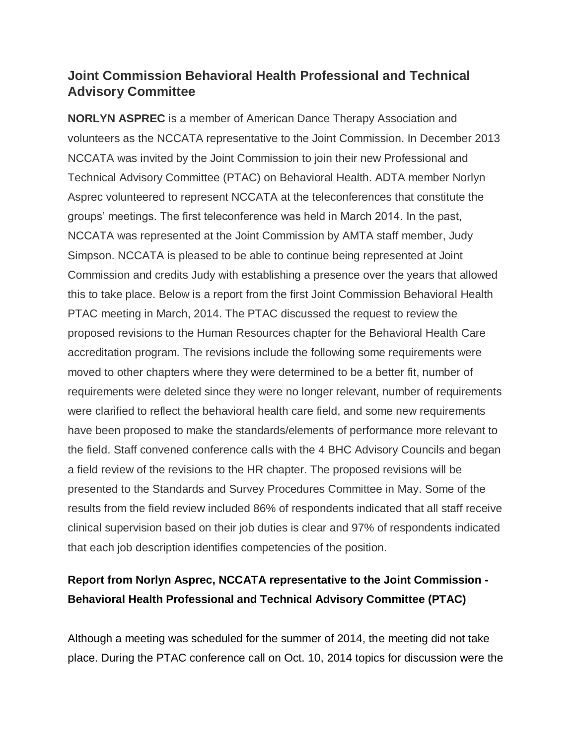## **Joint Commission Behavioral Health Professional and Technical Advisory Committee**

**NORLYN ASPREC** is a member of American Dance Therapy Association and volunteers as the NCCATA representative to the Joint Commission. In December 2013 NCCATA was invited by the Joint Commission to join their new Professional and Technical Advisory Committee (PTAC) on Behavioral Health. ADTA member Norlyn Asprec volunteered to represent NCCATA at the teleconferences that constitute the groups' meetings. The first teleconference was held in March 2014. In the past, NCCATA was represented at the Joint Commission by AMTA staff member, Judy Simpson. NCCATA is pleased to be able to continue being represented at Joint Commission and credits Judy with establishing a presence over the years that allowed this to take place. Below is a report from the first Joint Commission Behavioral Health PTAC meeting in March, 2014. The PTAC discussed the request to review the proposed revisions to the Human Resources chapter for the Behavioral Health Care accreditation program. The revisions include the following some requirements were moved to other chapters where they were determined to be a better fit, number of requirements were deleted since they were no longer relevant, number of requirements were clarified to reflect the behavioral health care field, and some new requirements have been proposed to make the standards/elements of performance more relevant to the field. Staff convened conference calls with the 4 BHC Advisory Councils and began a field review of the revisions to the HR chapter. The proposed revisions will be presented to the Standards and Survey Procedures Committee in May. Some of the results from the field review included 86% of respondents indicated that all staff receive clinical supervision based on their job duties is clear and 97% of respondents indicated that each job description identifies competencies of the position.

## **Report from Norlyn Asprec, NCCATA representative to the Joint Commission - Behavioral Health Professional and Technical Advisory Committee (PTAC)**

Although a meeting was scheduled for the summer of 2014, the meeting did not take place. During the PTAC conference call on Oct. 10, 2014 topics for discussion were the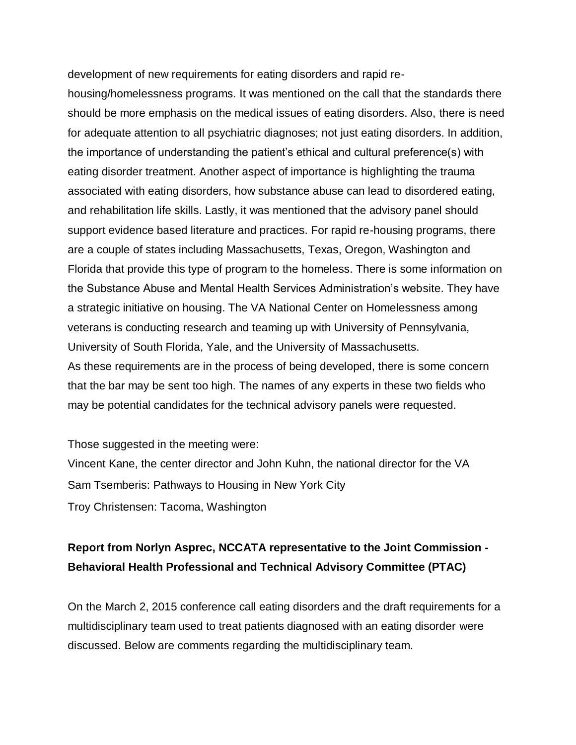development of new requirements for eating disorders and rapid re-

housing/homelessness programs. It was mentioned on the call that the standards there should be more emphasis on the medical issues of eating disorders. Also, there is need for adequate attention to all psychiatric diagnoses; not just eating disorders. In addition, the importance of understanding the patient's ethical and cultural preference(s) with eating disorder treatment. Another aspect of importance is highlighting the trauma associated with eating disorders, how substance abuse can lead to disordered eating, and rehabilitation life skills. Lastly, it was mentioned that the advisory panel should support evidence based literature and practices. For rapid re-housing programs, there are a couple of states including Massachusetts, Texas, Oregon, Washington and Florida that provide this type of program to the homeless. There is some information on the Substance Abuse and Mental Health Services Administration's website. They have a strategic initiative on housing. The VA National Center on Homelessness among veterans is conducting research and teaming up with University of Pennsylvania, University of South Florida, Yale, and the University of Massachusetts. As these requirements are in the process of being developed, there is some concern that the bar may be sent too high. The names of any experts in these two fields who may be potential candidates for the technical advisory panels were requested.

Those suggested in the meeting were: Vincent Kane, the center director and John Kuhn, the national director for the VA Sam Tsemberis: Pathways to Housing in New York City Troy Christensen: Tacoma, Washington

## **Report from Norlyn Asprec, NCCATA representative to the Joint Commission - Behavioral Health Professional and Technical Advisory Committee (PTAC)**

On the March 2, 2015 conference call eating disorders and the draft requirements for a multidisciplinary team used to treat patients diagnosed with an eating disorder were discussed. Below are comments regarding the multidisciplinary team.